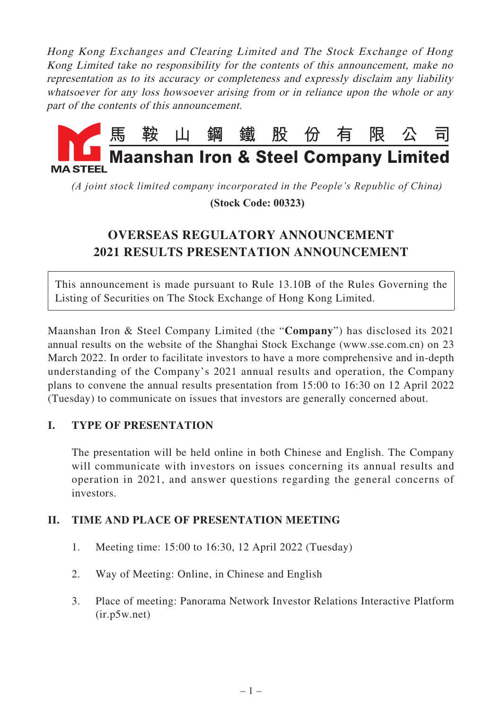Hong Kong Exchanges and Clearing Limited and The Stock Exchange of Hong Kong Limited take no responsibility for the contents of this announcement, make no representation as to its accuracy or completeness and expressly disclaim any liability whatsoever for any loss howsoever arising from or in reliance upon the whole or any part of the contents of this announcement.



*(A joint stock limited company incorporated in the People's Republic of China)*

 **(Stock Code: 00323)**

# **OVERSEAS REGULATORY ANNOUNCEMENT 2021 RESULTS PRESENTATION ANNOUNCEMENT**

This announcement is made pursuant to Rule 13.10B of the Rules Governing the Listing of Securities on The Stock Exchange of Hong Kong Limited.

Maanshan Iron & Steel Company Limited (the "**Company**") has disclosed its 2021 annual results on the website of the Shanghai Stock Exchange (www.sse.com.cn) on 23 March 2022. In order to facilitate investors to have a more comprehensive and in-depth understanding of the Company's 2021 annual results and operation, the Company plans to convene the annual results presentation from 15:00 to 16:30 on 12 April 2022 (Tuesday) to communicate on issues that investors are generally concerned about.

# **I. TYPE OF PRESENTATION**

The presentation will be held online in both Chinese and English. The Company will communicate with investors on issues concerning its annual results and operation in 2021, and answer questions regarding the general concerns of investors.

# **II. TIME AND PLACE OF PRESENTATION MEETING**

- 1. Meeting time: 15:00 to 16:30, 12 April 2022 (Tuesday)
- 2. Way of Meeting: Online, in Chinese and English
- 3. Place of meeting: Panorama Network Investor Relations Interactive Platform (ir.p5w.net)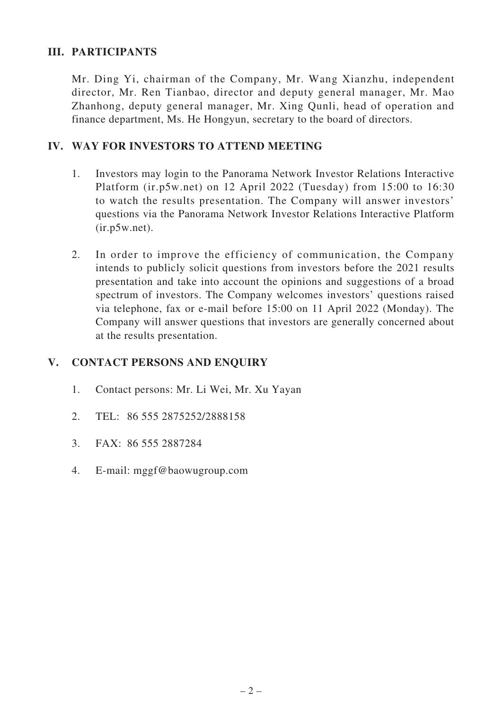## **III. PARTICIPANTS**

Mr. Ding Yi, chairman of the Company, Mr. Wang Xianzhu, independent director, Mr. Ren Tianbao, director and deputy general manager, Mr. Mao Zhanhong, deputy general manager, Mr. Xing Qunli, head of operation and finance department, Ms. He Hongyun, secretary to the board of directors.

## **IV. WAY FOR INVESTORS TO ATTEND MEETING**

- 1. Investors may login to the Panorama Network Investor Relations Interactive Platform (ir.p5w.net) on 12 April 2022 (Tuesday) from 15:00 to 16:30 to watch the results presentation. The Company will answer investors' questions via the Panorama Network Investor Relations Interactive Platform (ir.p5w.net).
- 2. In order to improve the efficiency of communication, the Company intends to publicly solicit questions from investors before the 2021 results presentation and take into account the opinions and suggestions of a broad spectrum of investors. The Company welcomes investors' questions raised via telephone, fax or e-mail before 15:00 on 11 April 2022 (Monday). The Company will answer questions that investors are generally concerned about at the results presentation.

#### **V. CONTACT PERSONS AND ENQUIRY**

- 1. Contact persons: Mr. Li Wei, Mr. Xu Yayan
- 2. TEL: 86 555 2875252/2888158
- 3. FAX: 86 555 2887284
- 4. E-mail: mggf@baowugroup.com